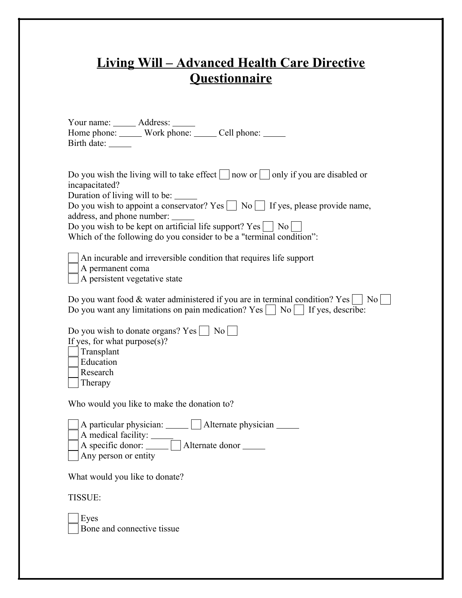## **Living Will – Advanced Health Care Directive Questionnaire**

| Your name: ______ Address: _____<br>Home phone: ______ Work phone: ______ Cell phone: _____<br>Birth date: ______                                                                                                                                                                                                                                                                                                           |
|-----------------------------------------------------------------------------------------------------------------------------------------------------------------------------------------------------------------------------------------------------------------------------------------------------------------------------------------------------------------------------------------------------------------------------|
| Do you wish the living will to take effect $\Box$ now or $\Box$ only if you are disabled or<br>incapacitated?<br>Duration of living will to be:<br>Do you wish to appoint a conservator? Yes $\Box$ No $\Box$ If yes, please provide name,<br>address, and phone number:<br>Do you wish to be kept on artificial life support? Yes $\Box$ No $\Box$<br>Which of the following do you consider to be a "terminal condition": |
| An incurable and irreversible condition that requires life support<br>A permanent coma<br>A persistent vegetative state                                                                                                                                                                                                                                                                                                     |
| Do you want food & water administered if you are in terminal condition? Yes $\vert$ No<br>Do you want any limitations on pain medication? Yes $\Box$ No $\Box$ If yes, describe:                                                                                                                                                                                                                                            |
| Do you wish to donate organs? Yes $\vert$ No $\vert$<br>If yes, for what purpose $(s)$ ?<br>Transplant<br>Education<br>Research<br>Therapy                                                                                                                                                                                                                                                                                  |
| Who would you like to make the donation to?                                                                                                                                                                                                                                                                                                                                                                                 |
| A particular physician:         Alternate physician  <br>A medical facility: _____<br>A specific donor: <u>Queen Alternate donor</u><br>Any person or entity                                                                                                                                                                                                                                                                |
| What would you like to donate?                                                                                                                                                                                                                                                                                                                                                                                              |
| <b>TISSUE:</b>                                                                                                                                                                                                                                                                                                                                                                                                              |
| Eyes                                                                                                                                                                                                                                                                                                                                                                                                                        |

Bone and connective tissue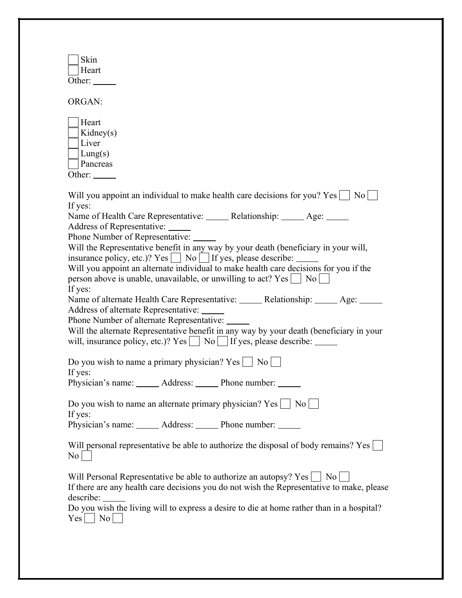| Skin<br>Heart<br>Other: $\_\_$                                                                                                                                                                                                                                                                                                                                                                                                                                                                                                                                                                                                                                                                                                                                                                                                                                                                                                                                          |
|-------------------------------------------------------------------------------------------------------------------------------------------------------------------------------------------------------------------------------------------------------------------------------------------------------------------------------------------------------------------------------------------------------------------------------------------------------------------------------------------------------------------------------------------------------------------------------------------------------------------------------------------------------------------------------------------------------------------------------------------------------------------------------------------------------------------------------------------------------------------------------------------------------------------------------------------------------------------------|
| ORGAN:                                                                                                                                                                                                                                                                                                                                                                                                                                                                                                                                                                                                                                                                                                                                                                                                                                                                                                                                                                  |
| Heart<br>Kidney(s)<br>Liver<br>Lung(s)<br>Pancreas<br>Other: $\_\_$                                                                                                                                                                                                                                                                                                                                                                                                                                                                                                                                                                                                                                                                                                                                                                                                                                                                                                     |
| Will you appoint an individual to make health care decisions for you? Yes $\vert$   No  <br>If yes:<br>Name of Health Care Representative: ______ Relationship: _____ Age: _____<br>Address of Representative:<br>Phone Number of Representative:<br>Will the Representative benefit in any way by your death (beneficiary in your will,<br>insurance policy, etc.)? $Yes \Box No \Box If yes, please describe: \Box$<br>Will you appoint an alternate individual to make health care decisions for you if the<br>person above is unable, unavailable, or unwilling to act? $Yes \cup No \$<br>If yes:<br>Name of alternate Health Care Representative: ______ Relationship: _____ Age: _____<br>Address of alternate Representative: ______<br>Phone Number of alternate Representative:<br>Will the alternate Representative benefit in any way by your death (beneficiary in your<br>will, insurance policy, etc.)? $Yes \Box No \Box If yes, please describe: \Box$ |
| Do you wish to name a primary physician? $Yes$<br>$\rm{No}$<br>If yes:<br>Physician's name: ______ Address: ______ Phone number: _____                                                                                                                                                                                                                                                                                                                                                                                                                                                                                                                                                                                                                                                                                                                                                                                                                                  |
| Do you wish to name an alternate primary physician? $Yes \mid \mathbb{N}o$<br>If yes:<br>Physician's name: ______ Address: _____ Phone number: _____                                                                                                                                                                                                                                                                                                                                                                                                                                                                                                                                                                                                                                                                                                                                                                                                                    |
| Will personal representative be able to authorize the disposal of body remains? Yes<br>No                                                                                                                                                                                                                                                                                                                                                                                                                                                                                                                                                                                                                                                                                                                                                                                                                                                                               |
| Will Personal Representative be able to authorize an autopsy? Yes<br>  No<br>If there are any health care decisions you do not wish the Representative to make, please<br>Do you wish the living will to express a desire to die at home rather than in a hospital?<br>$\overline{\phantom{a}}$ No<br>$\rm Yes$                                                                                                                                                                                                                                                                                                                                                                                                                                                                                                                                                                                                                                                         |
|                                                                                                                                                                                                                                                                                                                                                                                                                                                                                                                                                                                                                                                                                                                                                                                                                                                                                                                                                                         |